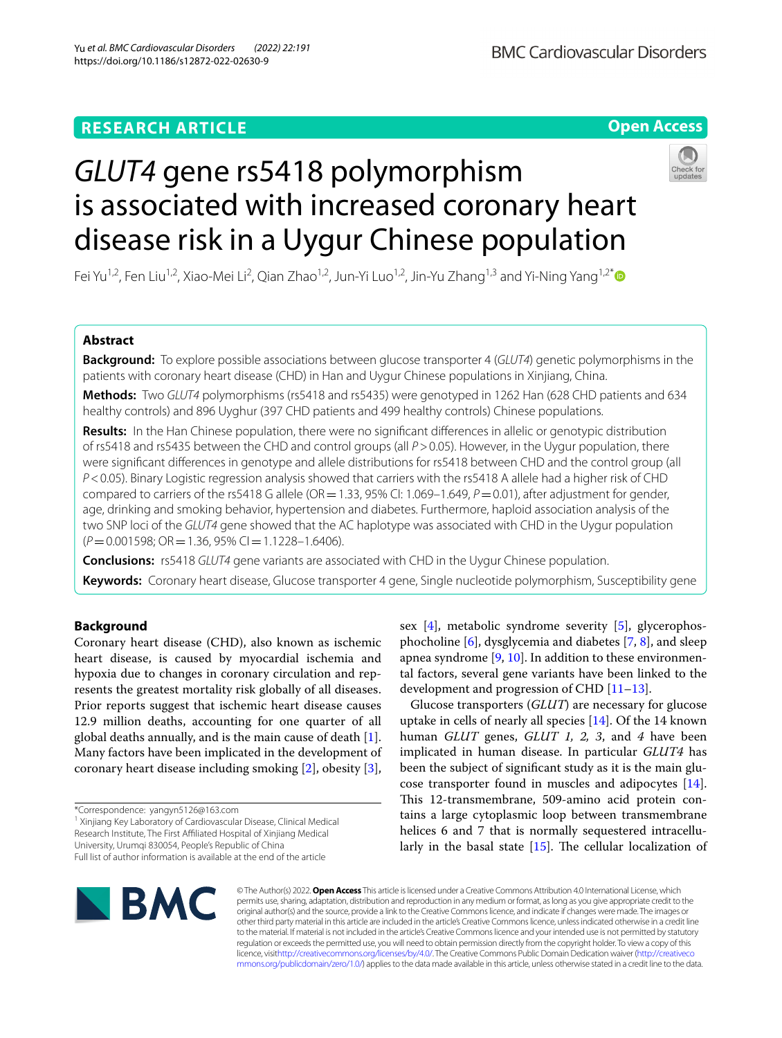## **RESEARCH ARTICLE**

## **Open Access**



# *GLUT4* gene rs5418 polymorphism is associated with increased coronary heart disease risk in a Uygur Chinese population

Fei Yu<sup>1,2</sup>, Fen Liu<sup>1,2</sup>, Xiao-Mei Li<sup>2</sup>, Qian Zhao<sup>1,2</sup>, Jun-Yi Luo<sup>1,2</sup>, Jin-Yu Zhang<sup>1,3</sup> and Yi-Ning Yang<sup>1,2[\\*](http://orcid.org/0000-0002-8332-8508)</sup>

## **Abstract**

**Background:** To explore possible associations between glucose transporter 4 (*GLUT4*) genetic polymorphisms in the patients with coronary heart disease (CHD) in Han and Uygur Chinese populations in Xinjiang, China.

**Methods:** Two *GLUT4* polymorphisms (rs5418 and rs5435) were genotyped in 1262 Han (628 CHD patients and 634 healthy controls) and 896 Uyghur (397 CHD patients and 499 healthy controls) Chinese populations.

**Results:** In the Han Chinese population, there were no signifcant diferences in allelic or genotypic distribution of rs5418 and rs5435 between the CHD and control groups (all *P*>0.05). However, in the Uygur population, there were signifcant diferences in genotype and allele distributions for rs5418 between CHD and the control group (all *P*<0.05). Binary Logistic regression analysis showed that carriers with the rs5418 A allele had a higher risk of CHD compared to carriers of the rs5418 G allele (OR = 1.33, 95% CI: 1.069–1.649, *P* = 0.01), after adjustment for gender, age, drinking and smoking behavior, hypertension and diabetes. Furthermore, haploid association analysis of the two SNP loci of the *GLUT4* gene showed that the AC haplotype was associated with CHD in the Uygur population (*P*=0.001598; OR=1.36, 95% CI=1.1228–1.6406).

**Conclusions:** rs5418 *GLUT4* gene variants are associated with CHD in the Uygur Chinese population. **Keywords:** Coronary heart disease, Glucose transporter 4 gene, Single nucleotide polymorphism, Susceptibility gene

## **Background**

Coronary heart disease (CHD), also known as ischemic heart disease, is caused by myocardial ischemia and hypoxia due to changes in coronary circulation and represents the greatest mortality risk globally of all diseases. Prior reports suggest that ischemic heart disease causes 12.9 million deaths, accounting for one quarter of all global deaths annually, and is the main cause of death [\[1](#page-5-0)]. Many factors have been implicated in the development of coronary heart disease including smoking [[2\]](#page-5-1), obesity [\[3](#page-5-2)],

\*Correspondence: yangyn5126@163.com

<sup>1</sup> Xinjiang Key Laboratory of Cardiovascular Disease, Clinical Medical Research Institute, The First Afliated Hospital of Xinjiang Medical University, Urumqi 830054, People's Republic of China

sex  $[4]$  $[4]$ , metabolic syndrome severity  $[5]$  $[5]$ , glycerophosphocholine [\[6](#page-5-5)], dysglycemia and diabetes [[7,](#page-5-6) [8](#page-5-7)], and sleep apnea syndrome [\[9](#page-5-8), [10](#page-5-9)]. In addition to these environmental factors, several gene variants have been linked to the development and progression of CHD [[11](#page-5-10)[–13](#page-5-11)].

Glucose transporters (*GLUT*) are necessary for glucose uptake in cells of nearly all species [\[14](#page-5-12)]. Of the 14 known human *GLUT* genes, *GLUT 1, 2, 3*, and *4* have been implicated in human disease. In particular *GLUT4* has been the subject of signifcant study as it is the main glucose transporter found in muscles and adipocytes [\[14](#page-5-12)]. This 12-transmembrane, 509-amino acid protein contains a large cytoplasmic loop between transmembrane helices 6 and 7 that is normally sequestered intracellularly in the basal state  $[15]$  $[15]$ . The cellular localization of



© The Author(s) 2022. **Open Access** This article is licensed under a Creative Commons Attribution 4.0 International License, which permits use, sharing, adaptation, distribution and reproduction in any medium or format, as long as you give appropriate credit to the original author(s) and the source, provide a link to the Creative Commons licence, and indicate if changes were made. The images or other third party material in this article are included in the article's Creative Commons licence, unless indicated otherwise in a credit line to the material. If material is not included in the article's Creative Commons licence and your intended use is not permitted by statutory regulation or exceeds the permitted use, you will need to obtain permission directly from the copyright holder. To view a copy of this licence, visi[thttp://creativecommons.org/licenses/by/4.0/](http://creativecommons.org/licenses/by/4.0/). The Creative Commons Public Domain Dedication waiver [\(http://creativeco](http://creativecommons.org/publicdomain/zero/1.0/) [mmons.org/publicdomain/zero/1.0/](http://creativecommons.org/publicdomain/zero/1.0/)) applies to the data made available in this article, unless otherwise stated in a credit line to the data.

Full list of author information is available at the end of the article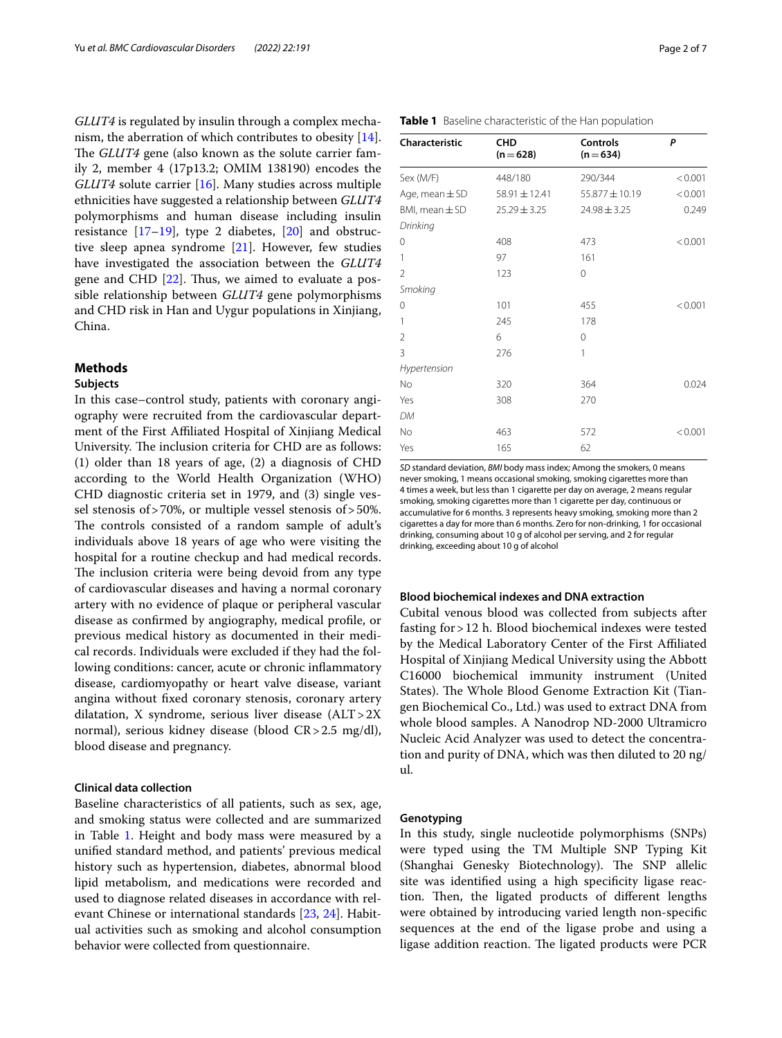*GLUT4* is regulated by insulin through a complex mechanism, the aberration of which contributes to obesity [\[14](#page-5-12)]. The *GLUT4* gene (also known as the solute carrier family 2, member 4 (17p13.2; OMIM 138190) encodes the *GLUT4* solute carrier [[16\]](#page-5-14). Many studies across multiple ethnicities have suggested a relationship between *GLUT4* polymorphisms and human disease including insulin resistance  $[17-19]$  $[17-19]$ , type 2 diabetes,  $[20]$  and obstructive sleep apnea syndrome  $[21]$  $[21]$ . However, few studies have investigated the association between the *GLUT4* gene and CHD  $[22]$  $[22]$  $[22]$ . Thus, we aimed to evaluate a possible relationship between *GLUT4* gene polymorphisms and CHD risk in Han and Uygur populations in Xinjiang, China.

## **Methods**

## **Subjects**

In this case–control study, patients with coronary angiography were recruited from the cardiovascular department of the First Afliated Hospital of Xinjiang Medical University. The inclusion criteria for CHD are as follows: (1) older than 18 years of age, (2) a diagnosis of CHD according to the World Health Organization (WHO) CHD diagnostic criteria set in 1979, and (3) single vessel stenosis of>70%, or multiple vessel stenosis of>50%. The controls consisted of a random sample of adult's individuals above 18 years of age who were visiting the hospital for a routine checkup and had medical records. The inclusion criteria were being devoid from any type of cardiovascular diseases and having a normal coronary artery with no evidence of plaque or peripheral vascular disease as confrmed by angiography, medical profle, or previous medical history as documented in their medical records. Individuals were excluded if they had the following conditions: cancer, acute or chronic infammatory disease, cardiomyopathy or heart valve disease, variant angina without fxed coronary stenosis, coronary artery dilatation, X syndrome, serious liver disease  $(ALT > 2X)$ normal), serious kidney disease (blood CR>2.5 mg/dl), blood disease and pregnancy.

## **Clinical data collection**

Baseline characteristics of all patients, such as sex, age, and smoking status were collected and are summarized in Table [1.](#page-1-0) Height and body mass were measured by a unifed standard method, and patients' previous medical history such as hypertension, diabetes, abnormal blood lipid metabolism, and medications were recorded and used to diagnose related diseases in accordance with relevant Chinese or international standards [\[23](#page-6-3), [24\]](#page-6-4). Habitual activities such as smoking and alcohol consumption behavior were collected from questionnaire.

<span id="page-1-0"></span>

| Table 1 Baseline characteristic of the Han population |  |
|-------------------------------------------------------|--|
|-------------------------------------------------------|--|

| <b>CHD</b><br>$(n=628)$ | <b>Controls</b><br>$(n=634)$ | P       |  |
|-------------------------|------------------------------|---------|--|
| 448/180                 | 290/344                      | < 0.001 |  |
| 58.91 ± 12.41           | 55.877 ± 10.19               | < 0.001 |  |
| $25.29 \pm 3.25$        | $24.98 \pm 3.25$             | 0.249   |  |
|                         |                              |         |  |
| 408                     | 473                          | < 0.001 |  |
| 97                      | 161                          |         |  |
| 123                     | 0                            |         |  |
|                         |                              |         |  |
| 101                     | 455                          | < 0.001 |  |
| 245                     | 178                          |         |  |
| 6                       | $\Omega$                     |         |  |
| 276                     | 1                            |         |  |
|                         |                              |         |  |
| 320                     | 364                          | 0.024   |  |
| 308                     | 270                          |         |  |
|                         |                              |         |  |
| 463                     | 572                          | < 0.001 |  |
| 165                     | 62                           |         |  |
|                         |                              |         |  |

*SD* standard deviation, *BMI* body mass index; Among the smokers, 0 means never smoking, 1 means occasional smoking, smoking cigarettes more than 4 times a week, but less than 1 cigarette per day on average, 2 means regular smoking, smoking cigarettes more than 1 cigarette per day, continuous or accumulative for 6 months. 3 represents heavy smoking, smoking more than 2 cigarettes a day for more than 6 months. Zero for non-drinking, 1 for occasional drinking, consuming about 10 g of alcohol per serving, and 2 for regular drinking, exceeding about 10 g of alcohol

## **Blood biochemical indexes and DNA extraction**

Cubital venous blood was collected from subjects after fasting for>12 h. Blood biochemical indexes were tested by the Medical Laboratory Center of the First Afliated Hospital of Xinjiang Medical University using the Abbott C16000 biochemical immunity instrument (United States). The Whole Blood Genome Extraction Kit (Tiangen Biochemical Co., Ltd.) was used to extract DNA from whole blood samples. A Nanodrop ND-2000 Ultramicro Nucleic Acid Analyzer was used to detect the concentration and purity of DNA, which was then diluted to 20 ng/ ul.

## **Genotyping**

In this study, single nucleotide polymorphisms (SNPs) were typed using the TM Multiple SNP Typing Kit (Shanghai Genesky Biotechnology). The SNP allelic site was identifed using a high specifcity ligase reaction. Then, the ligated products of different lengths were obtained by introducing varied length non-specifc sequences at the end of the ligase probe and using a ligase addition reaction. The ligated products were PCR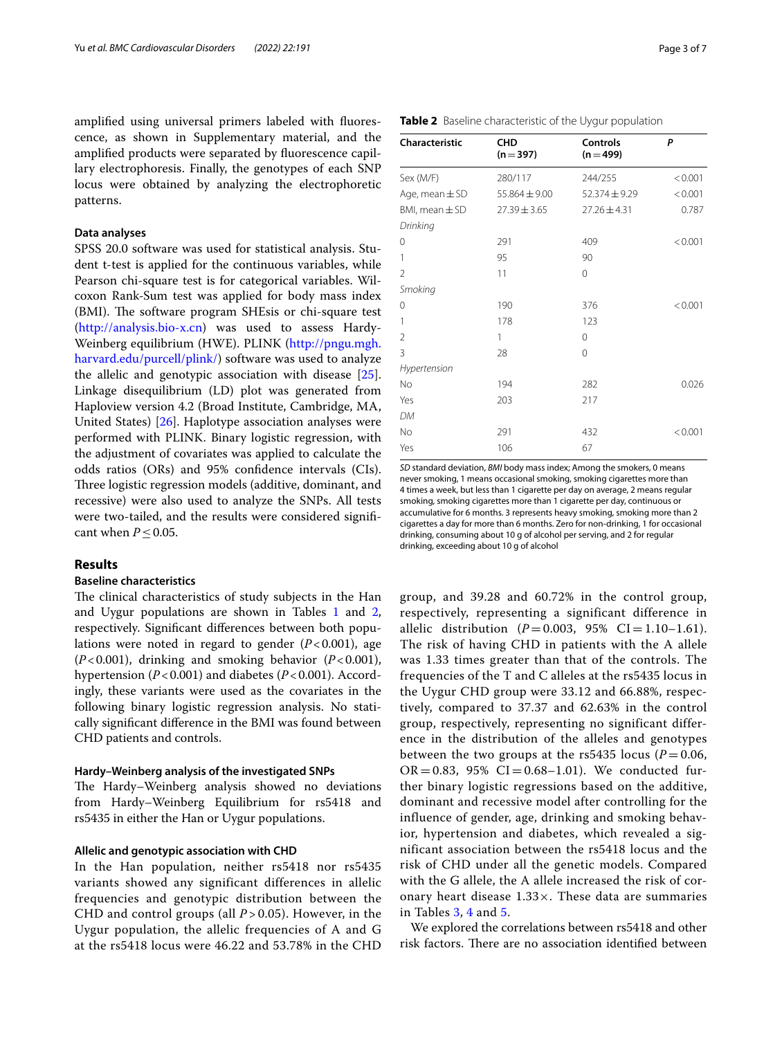amplifed using universal primers labeled with fuorescence, as shown in Supplementary material, and the amplifed products were separated by fuorescence capillary electrophoresis. Finally, the genotypes of each SNP locus were obtained by analyzing the electrophoretic patterns.

## **Data analyses**

SPSS 20.0 software was used for statistical analysis. Student t-test is applied for the continuous variables, while Pearson chi-square test is for categorical variables. Wilcoxon Rank-Sum test was applied for body mass index (BMI). The software program SHEsis or chi-square test (<http://analysis.bio-x.cn>) was used to assess Hardy-Weinberg equilibrium (HWE). PLINK [\(http://pngu.mgh.](http://pngu.mgh.harvard.edu/purcell/plink/) [harvard.edu/purcell/plink/\)](http://pngu.mgh.harvard.edu/purcell/plink/) software was used to analyze the allelic and genotypic association with disease [\[25](#page-6-5)]. Linkage disequilibrium (LD) plot was generated from Haploview version 4.2 (Broad Institute, Cambridge, MA, United States) [[26](#page-6-6)]. Haplotype association analyses were performed with PLINK. Binary logistic regression, with the adjustment of covariates was applied to calculate the odds ratios (ORs) and 95% confdence intervals (CIs). Three logistic regression models (additive, dominant, and recessive) were also used to analyze the SNPs. All tests were two-tailed, and the results were considered signifcant when  $P < 0.05$ .

## **Results**

## **Baseline characteristics**

The clinical characteristics of study subjects in the Han and Uygur populations are shown in Tables [1](#page-1-0) and  $2$ , respectively. Signifcant diferences between both populations were noted in regard to gender  $(P<0.001)$ , age (*P*<0.001), drinking and smoking behavior (*P*<0.001), hypertension (*P*<0.001) and diabetes (*P*<0.001). Accordingly, these variants were used as the covariates in the following binary logistic regression analysis. No statically signifcant diference in the BMI was found between CHD patients and controls.

## **Hardy–Weinberg analysis of the investigated SNPs**

The Hardy–Weinberg analysis showed no deviations from Hardy–Weinberg Equilibrium for rs5418 and rs5435 in either the Han or Uygur populations.

## **Allelic and genotypic association with CHD**

In the Han population, neither rs5418 nor rs5435 variants showed any significant differences in allelic frequencies and genotypic distribution between the CHD and control groups (all *P* > 0.05). However, in the Uygur population, the allelic frequencies of A and G at the rs5418 locus were 46.22 and 53.78% in the CHD

<span id="page-2-0"></span>

|  |  | Table 2 Baseline characteristic of the Uygur population |  |  |  |
|--|--|---------------------------------------------------------|--|--|--|
|--|--|---------------------------------------------------------|--|--|--|

| Characteristic        | <b>CHD</b><br>$(n=397)$ | <b>Controls</b><br>$(n=499)$ | P       |
|-----------------------|-------------------------|------------------------------|---------|
| Sex (M/F)             | 280/117                 | 244/255                      | < 0.001 |
| Age, mean $\pm$ SD    | $55.864 \pm 9.00$       | $52.374 \pm 9.29$            | < 0.001 |
| $BMI$ , mean $\pm$ SD | $27.39 \pm 3.65$        | $27.26 \pm 4.31$             | 0.787   |
| Drinking              |                         |                              |         |
| 0                     | 291                     | 409                          | < 0.001 |
| $\mathbf{1}$          | 95                      | 90                           |         |
| 2                     | 11                      | 0                            |         |
| Smoking               |                         |                              |         |
| 0                     | 190                     | 376                          | < 0.001 |
| 1                     | 178                     | 123                          |         |
| $\overline{2}$        | 1                       | $\Omega$                     |         |
| 3                     | 28                      | 0                            |         |
| Hypertension          |                         |                              |         |
| No                    | 194                     | 282                          | 0.026   |
| Yes                   | 203                     | 217                          |         |
| DM                    |                         |                              |         |
| No                    | 291                     | 432                          | < 0.001 |
| Yes                   | 106                     | 67                           |         |
|                       |                         |                              |         |

*SD* standard deviation, *BMI* body mass index; Among the smokers, 0 means never smoking, 1 means occasional smoking, smoking cigarettes more than 4 times a week, but less than 1 cigarette per day on average, 2 means regular smoking, smoking cigarettes more than 1 cigarette per day, continuous or accumulative for 6 months. 3 represents heavy smoking, smoking more than 2 cigarettes a day for more than 6 months. Zero for non-drinking, 1 for occasional drinking, consuming about 10 g of alcohol per serving, and 2 for regular drinking, exceeding about 10 g of alcohol

group, and 39.28 and 60.72% in the control group, respectively, representing a significant difference in allelic distribution ( $P = 0.003$ , 95% CI = 1.10-1.61). The risk of having CHD in patients with the A allele was 1.33 times greater than that of the controls. The frequencies of the T and C alleles at the rs5435 locus in the Uygur CHD group were 33.12 and 66.88%, respectively, compared to 37.37 and 62.63% in the control group, respectively, representing no significant difference in the distribution of the alleles and genotypes between the two groups at the rs5435 locus ( $P = 0.06$ ,  $OR = 0.83$ , 95%  $CI = 0.68 - 1.01$ . We conducted further binary logistic regressions based on the additive, dominant and recessive model after controlling for the influence of gender, age, drinking and smoking behavior, hypertension and diabetes, which revealed a significant association between the rs5418 locus and the risk of CHD under all the genetic models. Compared with the G allele, the A allele increased the risk of coronary heart disease  $1.33\times$ . These data are summaries in Tables [3,](#page-3-0) [4](#page-3-1) and [5.](#page-3-2)

We explored the correlations between rs5418 and other risk factors. There are no association identified between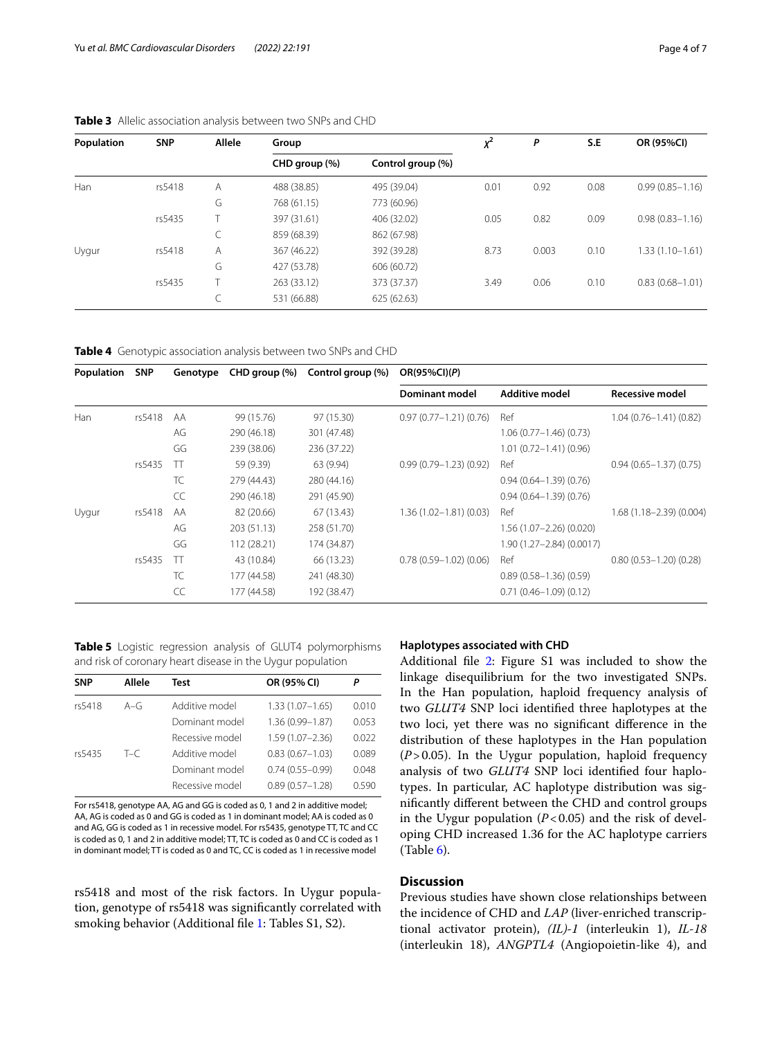| Population | <b>SNP</b> | <b>Allele</b> | Group         |                   | $x^2$ | P     | S.E  | OR (95%CI)          |
|------------|------------|---------------|---------------|-------------------|-------|-------|------|---------------------|
|            |            |               | CHD group (%) | Control group (%) |       |       |      |                     |
| Han        | rs5418     | A             | 488 (38.85)   | 495 (39.04)       | 0.01  | 0.92  | 0.08 | $0.99(0.85 - 1.16)$ |
|            |            | G             | 768 (61.15)   | 773 (60.96)       |       |       |      |                     |
|            | rs5435     |               | 397 (31.61)   | 406 (32.02)       | 0.05  | 0.82  | 0.09 | $0.98(0.83 - 1.16)$ |
|            |            | C             | 859 (68.39)   | 862 (67.98)       |       |       |      |                     |
| Uygur      | rs5418     | A             | 367 (46.22)   | 392 (39.28)       | 8.73  | 0.003 | 0.10 | $1.33(1.10-1.61)$   |
|            |            | G             | 427 (53.78)   | 606 (60.72)       |       |       |      |                     |
|            | rs5435     |               | 263 (33.12)   | 373 (37.37)       | 3.49  | 0.06  | 0.10 | $0.83(0.68 - 1.01)$ |
|            |            |               | 531 (66.88)   | 625 (62.63)       |       |       |      |                     |

## <span id="page-3-0"></span>**Table 3** Allelic association analysis between two SNPs and CHD

<span id="page-3-1"></span>**Table 4** Genotypic association analysis between two SNPs and CHD

| Population | <b>SNP</b> | Genotype  | CHD group (%) | Control group (%) | $OR(95\%CI)(P)$           |                             |                            |
|------------|------------|-----------|---------------|-------------------|---------------------------|-----------------------------|----------------------------|
|            |            |           |               |                   | <b>Dominant model</b>     | Additive model              | Recessive model            |
| Han        | rs5418     | AA        | 99 (15.76)    | 97 (15.30)        | $0.97(0.77 - 1.21)(0.76)$ | Ref                         | $1.04(0.76 - 1.41)(0.82)$  |
|            |            | AG        | 290 (46.18)   | 301 (47.48)       |                           | $1.06(0.77 - 1.46)(0.73)$   |                            |
|            |            | GG        | 239 (38.06)   | 236 (37.22)       |                           | $1.01(0.72 - 1.41)(0.96)$   |                            |
|            | rs5435     | TT        | 59 (9.39)     | 63 (9.94)         | $0.99(0.79 - 1.23)(0.92)$ | Ref                         | $0.94(0.65 - 1.37)(0.75)$  |
|            |            | TC.       | 279 (44.43)   | 280 (44.16)       |                           | $0.94(0.64 - 1.39)(0.76)$   |                            |
|            |            | CC        | 290 (46.18)   | 291 (45.90)       |                           | $0.94(0.64 - 1.39)(0.76)$   |                            |
| Uygur      | rs5418     | AA        | 82 (20.66)    | 67(13.43)         | $1.36(1.02 - 1.81)(0.03)$ | Ref                         | $1.68(1.18 - 2.39)(0.004)$ |
|            |            | AG        | 203 (51.13)   | 258 (51.70)       |                           | 1.56 (1.07–2.26) (0.020)    |                            |
|            |            | GG        | 112 (28.21)   | 174 (34.87)       |                           | 1.90 (1.27 - 2.84) (0.0017) |                            |
|            | rs5435     | TT        | 43 (10.84)    | 66 (13.23)        | $0.78(0.59 - 1.02)(0.06)$ | Ref                         | $0.80(0.53 - 1.20)(0.28)$  |
|            |            | <b>TC</b> | 177 (44.58)   | 241 (48.30)       |                           | $0.89(0.58 - 1.36)(0.59)$   |                            |
|            |            | CC        | 177 (44.58)   | 192 (38.47)       |                           | $0.71(0.46 - 1.09)(0.12)$   |                            |

<span id="page-3-2"></span>

|  |                                                            |  | Table 5 Logistic regression analysis of GLUT4 polymorphisms |
|--|------------------------------------------------------------|--|-------------------------------------------------------------|
|  | and risk of coronary heart disease in the Uygur population |  |                                                             |

| <b>SNP</b> | Allele  | Test            | OR (95% CI)         |       |
|------------|---------|-----------------|---------------------|-------|
| rs5418     | $A-G$   | Additive model  | $1.33(1.07 - 1.65)$ | 0.010 |
|            |         | Dominant model  | $1.36(0.99 - 1.87)$ | 0.053 |
|            |         | Recessive model | $1.59(1.07 - 2.36)$ | 0.022 |
| rs5435     | $T - C$ | Additive model  | $0.83(0.67 - 1.03)$ | 0.089 |
|            |         | Dominant model  | $0.74(0.55 - 0.99)$ | 0.048 |
|            |         | Recessive model | $0.89(0.57 - 1.28)$ | 0.590 |

For rs5418, genotype AA, AG and GG is coded as 0, 1 and 2 in additive model; AA, AG is coded as 0 and GG is coded as 1 in dominant model; AA is coded as 0 and AG, GG is coded as 1 in recessive model. For rs5435, genotype TT, TC and CC is coded as 0, 1 and 2 in additive model; TT, TC is coded as 0 and CC is coded as 1 in dominant model; TT is coded as 0 and TC, CC is coded as 1 in recessive model

rs5418 and most of the risk factors. In Uygur population, genotype of rs5418 was signifcantly correlated with smoking behavior (Additional fle [1](#page-5-17): Tables S1, S2).

## **Haplotypes associated with CHD**

Additional fle [2:](#page-5-18) Figure S1 was included to show the linkage disequilibrium for the two investigated SNPs. In the Han population, haploid frequency analysis of two *GLUT4* SNP loci identifed three haplotypes at the two loci, yet there was no signifcant diference in the distribution of these haplotypes in the Han population (*P*>0.05). In the Uygur population, haploid frequency analysis of two *GLUT4* SNP loci identifed four haplotypes. In particular, AC haplotype distribution was signifcantly diferent between the CHD and control groups in the Uygur population  $(P<0.05)$  and the risk of developing CHD increased 1.36 for the AC haplotype carriers (Table [6\)](#page-4-0).

## **Discussion**

Previous studies have shown close relationships between the incidence of CHD and *LAP* (liver-enriched transcriptional activator protein), *(IL)-1* (interleukin 1), *IL-18* (interleukin 18), *ANGPTL4* (Angiopoietin-like 4), and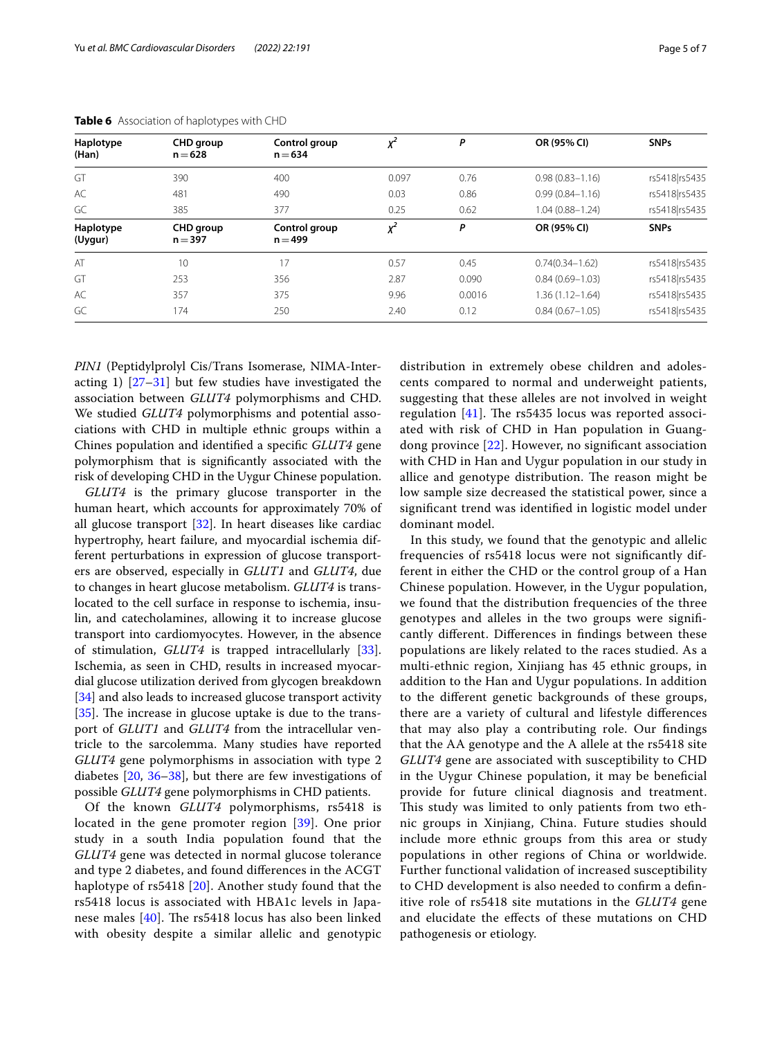| Haplotype<br>(Han)   | CHD group<br>$n = 628$ | Control group<br>$n = 634$ | $\mathbf{v}^2$<br>A | P      | OR (95% CI)         | <b>SNPs</b>   |
|----------------------|------------------------|----------------------------|---------------------|--------|---------------------|---------------|
| GT                   | 390                    | 400                        | 0.097               | 0.76   | $0.98(0.83 - 1.16)$ | rs5418 rs5435 |
| AC                   | 481                    | 490                        | 0.03                | 0.86   | $0.99(0.84 - 1.16)$ | rs5418 rs5435 |
| GC                   | 385                    | 377                        | 0.25                | 0.62   | $1.04(0.88 - 1.24)$ | rs5418 rs5435 |
| Haplotype<br>(Uygur) | CHD group<br>$n = 397$ | Control group<br>$n = 499$ | $\mathcal{L}$       | P      | OR (95% CI)         | <b>SNPs</b>   |
| AT                   | 10                     | 17                         | 0.57                | 0.45   | $0.74(0.34 - 1.62)$ | rs5418 rs5435 |
| GT                   | 253                    | 356                        | 2.87                | 0.090  | $0.84(0.69 - 1.03)$ | rs5418 rs5435 |
| AC                   | 357                    | 375                        | 9.96                | 0.0016 | $1.36(1.12 - 1.64)$ | rs5418 rs5435 |
| GC                   | 174                    | 250                        | 2.40                | 0.12   | $0.84(0.67 - 1.05)$ | rs5418 rs5435 |
|                      |                        |                            |                     |        |                     |               |

<span id="page-4-0"></span>**Table 6** Association of haplotypes with CHD

*PIN1* (Peptidylprolyl Cis/Trans Isomerase, NIMA-Interacting 1)  $[27-31]$  $[27-31]$  $[27-31]$  but few studies have investigated the association between *GLUT4* polymorphisms and CHD. We studied *GLUT4* polymorphisms and potential associations with CHD in multiple ethnic groups within a Chines population and identifed a specifc *GLUT4* gene polymorphism that is signifcantly associated with the risk of developing CHD in the Uygur Chinese population.

*GLUT4* is the primary glucose transporter in the human heart, which accounts for approximately 70% of all glucose transport [\[32](#page-6-9)]. In heart diseases like cardiac hypertrophy, heart failure, and myocardial ischemia different perturbations in expression of glucose transporters are observed, especially in *GLUT1* and *GLUT4*, due to changes in heart glucose metabolism. *GLUT4* is translocated to the cell surface in response to ischemia, insulin, and catecholamine*s*, allowing it to increase glucose transport into cardiomyocytes. However, in the absence of stimulation, *GLUT4* is trapped intracellularly [\[33](#page-6-10)]. Ischemia, as seen in CHD, results in increased myocardial glucose utilization derived from glycogen breakdown [[34\]](#page-6-11) and also leads to increased glucose transport activity [ $35$ ]. The increase in glucose uptake is due to the transport of *GLUT1* and *GLUT4* from the intracellular ventricle to the sarcolemma. Many studies have reported *GLUT4* gene polymorphisms in association with type 2 diabetes [[20,](#page-6-0) [36](#page-6-13)[–38](#page-6-14)], but there are few investigations of possible *GLUT4* gene polymorphisms in CHD patients.

Of the known *GLUT4* polymorphisms, rs5418 is located in the gene promoter region [\[39\]](#page-6-15). One prior study in a south India population found that the *GLUT4* gene was detected in normal glucose tolerance and type 2 diabetes, and found diferences in the ACGT haplotype of rs5418 [[20](#page-6-0)]. Another study found that the rs5418 locus is associated with HBA1c levels in Japanese males  $[40]$ . The rs5418 locus has also been linked with obesity despite a similar allelic and genotypic distribution in extremely obese children and adolescents compared to normal and underweight patients, suggesting that these alleles are not involved in weight regulation  $[41]$  $[41]$ . The rs5435 locus was reported associated with risk of CHD in Han population in Guangdong province [\[22](#page-6-2)]. However, no signifcant association with CHD in Han and Uygur population in our study in allice and genotype distribution. The reason might be low sample size decreased the statistical power, since a signifcant trend was identifed in logistic model under dominant model.

In this study, we found that the genotypic and allelic frequencies of rs5418 locus were not signifcantly different in either the CHD or the control group of a Han Chinese population. However, in the Uygur population, we found that the distribution frequencies of the three genotypes and alleles in the two groups were signifcantly diferent. Diferences in fndings between these populations are likely related to the races studied. As a multi-ethnic region, Xinjiang has 45 ethnic groups, in addition to the Han and Uygur populations. In addition to the diferent genetic backgrounds of these groups, there are a variety of cultural and lifestyle diferences that may also play a contributing role. Our fndings that the AA genotype and the A allele at the rs5418 site *GLUT4* gene are associated with susceptibility to CHD in the Uygur Chinese population, it may be benefcial provide for future clinical diagnosis and treatment. This study was limited to only patients from two ethnic groups in Xinjiang, China. Future studies should include more ethnic groups from this area or study populations in other regions of China or worldwide. Further functional validation of increased susceptibility to CHD development is also needed to confrm a defnitive role of rs5418 site mutations in the *GLUT4* gene and elucidate the efects of these mutations on CHD pathogenesis or etiology.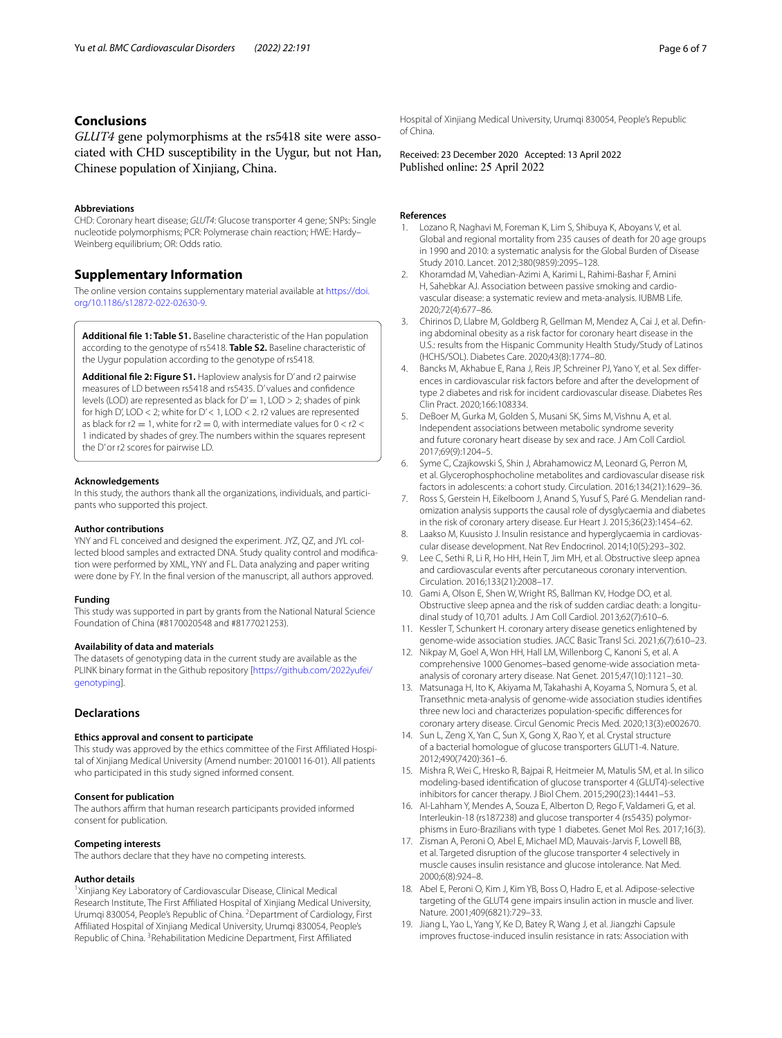## **Conclusions**

*GLUT4* gene polymorphisms at the rs5418 site were associated with CHD susceptibility in the Uygur, but not Han, Chinese population of Xinjiang, China.

## **Abbreviations**

CHD: Coronary heart disease; *GLUT4*: Glucose transporter 4 gene; SNPs: Single nucleotide polymorphisms; PCR: Polymerase chain reaction; HWE: Hardy– Weinberg equilibrium; OR: Odds ratio.

## **Supplementary Information**

The online version contains supplementary material available at [https://doi.](https://doi.org/10.1186/s12872-022-02630-9) [org/10.1186/s12872-022-02630-9](https://doi.org/10.1186/s12872-022-02630-9).

<span id="page-5-17"></span>**Additional fle 1: Table S1.** Baseline characteristic of the Han population according to the genotype of rs5418. **Table S2.** Baseline characteristic of the Uygur population according to the genotype of rs5418.

<span id="page-5-18"></span>**Additional fle 2: Figure S1.** Haploview analysis for D' and r2 pairwise measures of LD between rs5418 and rs5435. D' values and confdence levels (LOD) are represented as black for D' = 1, LOD > 2; shades of pink for high D', LOD < 2; white for  $D'$  < 1, LOD < 2. r2 values are represented as black for  $r2 = 1$ , white for  $r2 = 0$ , with intermediate values for  $0 < r2 <$ 1 indicated by shades of grey. The numbers within the squares represent the D' or r2 scores for pairwise LD.

#### **Acknowledgements**

In this study, the authors thank all the organizations, individuals, and participants who supported this project.

## **Author contributions**

YNY and FL conceived and designed the experiment. JYZ, QZ, and JYL collected blood samples and extracted DNA. Study quality control and modification were performed by XML, YNY and FL. Data analyzing and paper writing were done by FY. In the fnal version of the manuscript, all authors approved.

#### **Funding**

This study was supported in part by grants from the National Natural Science Foundation of China (#8170020548 and #8177021253).

#### **Availability of data and materials**

The datasets of genotyping data in the current study are available as the PLINK binary format in the Github repository [[https://github.com/2022yufei/](https://github.com/2022yufei/genotyping) [genotyping\]](https://github.com/2022yufei/genotyping).

## **Declarations**

## **Ethics approval and consent to participate**

This study was approved by the ethics committee of the First Affiliated Hospital of Xinjiang Medical University (Amend number: 20100116-01). All patients who participated in this study signed informed consent.

## **Consent for publication**

The authors affirm that human research participants provided informed consent for publication.

## **Competing interests**

The authors declare that they have no competing interests.

#### **Author details**

<sup>1</sup>Xinjiang Key Laboratory of Cardiovascular Disease, Clinical Medical Research Institute, The First Afliated Hospital of Xinjiang Medical University, Urumqi 830054, People's Republic of China. <sup>2</sup> Department of Cardiology, First Afliated Hospital of Xinjiang Medical University, Urumqi 830054, People's Republic of China. <sup>3</sup> Rehabilitation Medicine Department, First Affiliated

Hospital of Xinjiang Medical University, Urumqi 830054, People's Republic of China.

Received: 23 December 2020 Accepted: 13 April 2022

#### **References**

- <span id="page-5-0"></span>Lozano R, Naghavi M, Foreman K, Lim S, Shibuya K, Aboyans V, et al. Global and regional mortality from 235 causes of death for 20 age groups in 1990 and 2010: a systematic analysis for the Global Burden of Disease Study 2010. Lancet. 2012;380(9859):2095–128.
- <span id="page-5-1"></span>2. Khoramdad M, Vahedian-Azimi A, Karimi L, Rahimi-Bashar F, Amini H, Sahebkar AJ. Association between passive smoking and cardiovascular disease: a systematic review and meta-analysis. IUBMB Life. 2020;72(4):677–86.
- <span id="page-5-2"></span>3. Chirinos D, Llabre M, Goldberg R, Gellman M, Mendez A, Cai J, et al. Defining abdominal obesity as a risk factor for coronary heart disease in the U.S.: results from the Hispanic Community Health Study/Study of Latinos (HCHS/SOL). Diabetes Care. 2020;43(8):1774–80.
- <span id="page-5-3"></span>4. Bancks M, Akhabue E, Rana J, Reis JP, Schreiner PJ, Yano Y, et al. Sex differences in cardiovascular risk factors before and after the development of type 2 diabetes and risk for incident cardiovascular disease. Diabetes Res Clin Pract. 2020;166:108334.
- <span id="page-5-4"></span>5. DeBoer M, Gurka M, Golden S, Musani SK, Sims M, Vishnu A, et al. Independent associations between metabolic syndrome severity and future coronary heart disease by sex and race. J Am Coll Cardiol. 2017;69(9):1204–5.
- <span id="page-5-5"></span>6. Syme C, Czajkowski S, Shin J, Abrahamowicz M, Leonard G, Perron M, et al. Glycerophosphocholine metabolites and cardiovascular disease risk factors in adolescents: a cohort study. Circulation. 2016;134(21):1629–36.
- <span id="page-5-6"></span>7. Ross S, Gerstein H, Eikelboom J, Anand S, Yusuf S, Paré G. Mendelian randomization analysis supports the causal role of dysglycaemia and diabetes in the risk of coronary artery disease. Eur Heart J. 2015;36(23):1454–62.
- <span id="page-5-7"></span>8. Laakso M, Kuusisto J. Insulin resistance and hyperglycaemia in cardiovascular disease development. Nat Rev Endocrinol. 2014;10(5):293–302.
- <span id="page-5-8"></span>Lee C, Sethi R, Li R, Ho HH, Hein T, Jim MH, et al. Obstructive sleep apnea and cardiovascular events after percutaneous coronary intervention. Circulation. 2016;133(21):2008–17.
- <span id="page-5-9"></span>10. Gami A, Olson E, Shen W, Wright RS, Ballman KV, Hodge DO, et al. Obstructive sleep apnea and the risk of sudden cardiac death: a longitudinal study of 10,701 adults. J Am Coll Cardiol. 2013;62(7):610–6.
- <span id="page-5-10"></span>11. Kessler T, Schunkert H. coronary artery disease genetics enlightened by genome-wide association studies. JACC Basic Transl Sci. 2021;6(7):610–23.
- 12. Nikpay M, Goel A, Won HH, Hall LM, Willenborg C, Kanoni S, et al. A comprehensive 1000 Genomes–based genome-wide association metaanalysis of coronary artery disease. Nat Genet. 2015;47(10):1121–30.
- <span id="page-5-11"></span>13. Matsunaga H, Ito K, Akiyama M, Takahashi A, Koyama S, Nomura S, et al. Transethnic meta-analysis of genome-wide association studies identifes three new loci and characterizes population-specifc diferences for coronary artery disease. Circul Genomic Precis Med. 2020;13(3):e002670.
- <span id="page-5-12"></span>14. Sun L, Zeng X, Yan C, Sun X, Gong X, Rao Y, et al. Crystal structure of a bacterial homologue of glucose transporters GLUT1-4. Nature. 2012;490(7420):361–6.
- <span id="page-5-13"></span>15. Mishra R, Wei C, Hresko R, Bajpai R, Heitmeier M, Matulis SM, et al. In silico modeling-based identifcation of glucose transporter 4 (GLUT4)-selective inhibitors for cancer therapy. J Biol Chem. 2015;290(23):14441–53.
- <span id="page-5-14"></span>16. Al-Lahham Y, Mendes A, Souza E, Alberton D, Rego F, Valdameri G, et al. Interleukin-18 (rs187238) and glucose transporter 4 (rs5435) polymorphisms in Euro-Brazilians with type 1 diabetes. Genet Mol Res. 2017;16(3).
- <span id="page-5-15"></span>17. Zisman A, Peroni O, Abel E, Michael MD, Mauvais-Jarvis F, Lowell BB, et al. Targeted disruption of the glucose transporter 4 selectively in muscle causes insulin resistance and glucose intolerance. Nat Med. 2000;6(8):924–8.
- 18. Abel E, Peroni O, Kim J, Kim YB, Boss O, Hadro E, et al. Adipose-selective targeting of the GLUT4 gene impairs insulin action in muscle and liver. Nature. 2001;409(6821):729–33.
- <span id="page-5-16"></span>19. Jiang L, Yao L, Yang Y, Ke D, Batey R, Wang J, et al. Jiangzhi Capsule improves fructose-induced insulin resistance in rats: Association with